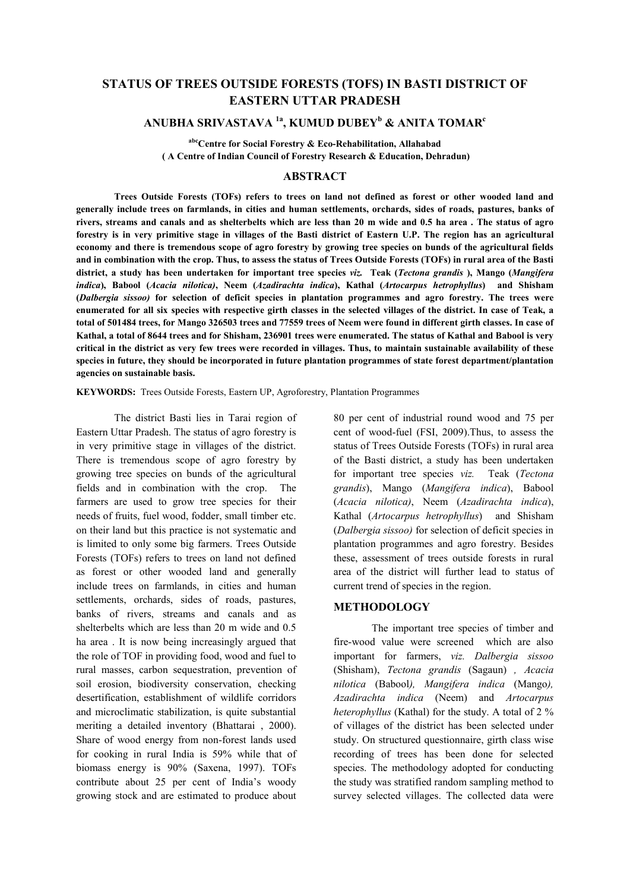## **STATUS OF TREES OUTSIDE FORESTS (TOFS) IN BASTI DISTRICT OF EASTERN UTTAR PRADESH**

### **ANUBHA SRIVASTAVA 1a, KUMUD DUBEY<sup>b</sup> & ANITA TOMAR<sup>c</sup>**

**abcCentre for Social Forestry & Eco-Rehabilitation, Allahabad ( A Centre of Indian Council of Forestry Research & Education, Dehradun)** 

#### **ABSTRACT**

 **Trees Outside Forests (TOFs) refers to trees on land not defined as forest or other wooded land and generally include trees on farmlands, in cities and human settlements, orchards, sides of roads, pastures, banks of rivers, streams and canals and as shelterbelts which are less than 20 m wide and 0.5 ha area . The status of agro forestry is in very primitive stage in villages of the Basti district of Eastern U.P. The region has an agricultural economy and there is tremendous scope of agro forestry by growing tree species on bunds of the agricultural fields and in combination with the crop. Thus, to assess the status of Trees Outside Forests (TOFs) in rural area of the Basti district, a study has been undertaken for important tree species** *viz.* **Teak (***Tectona grandis* **), Mango (***Mangifera indica***), Babool (***Acacia nilotica)***, Neem (***Azadirachta indica***), Kathal (***Artocarpus hetrophyllus***) and Shisham (***Dalbergia sissoo)* **for selection of deficit species in plantation programmes and agro forestry. The trees were enumerated for all six species with respective girth classes in the selected villages of the district. In case of Teak, a total of 501484 trees, for Mango 326503 trees and 77559 trees of Neem were found in different girth classes. In case of Kathal, a total of 8644 trees and for Shisham, 236901 trees were enumerated. The status of Kathal and Babool is very critical in the district as very few trees were recorded in villages. Thus, to maintain sustainable availability of these species in future, they should be incorporated in future plantation programmes of state forest department/plantation agencies on sustainable basis.** 

**KEYWORDS:** Trees Outside Forests, Eastern UP, Agroforestry, Plantation Programmes

 The district Basti lies in Tarai region of Eastern Uttar Pradesh. The status of agro forestry is in very primitive stage in villages of the district. There is tremendous scope of agro forestry by growing tree species on bunds of the agricultural fields and in combination with the crop. The farmers are used to grow tree species for their needs of fruits, fuel wood, fodder, small timber etc. on their land but this practice is not systematic and is limited to only some big farmers. Trees Outside Forests (TOFs) refers to trees on land not defined as forest or other wooded land and generally include trees on farmlands, in cities and human settlements, orchards, sides of roads, pastures, banks of rivers, streams and canals and as shelterbelts which are less than 20 m wide and 0.5 ha area . It is now being increasingly argued that the role of TOF in providing food, wood and fuel to rural masses, carbon sequestration, prevention of soil erosion, biodiversity conservation, checking desertification, establishment of wildlife corridors and microclimatic stabilization, is quite substantial meriting a detailed inventory (Bhattarai , 2000). Share of wood energy from non-forest lands used for cooking in rural India is 59% while that of biomass energy is 90% (Saxena, 1997). TOFs contribute about 25 per cent of India's woody growing stock and are estimated to produce about

80 per cent of industrial round wood and 75 per cent of wood-fuel (FSI, 2009).Thus, to assess the status of Trees Outside Forests (TOFs) in rural area of the Basti district, a study has been undertaken for important tree species *viz.* Teak (*Tectona grandis*), Mango (*Mangifera indica*), Babool (*Acacia nilotica)*, Neem (*Azadirachta indica*), Kathal (*Artocarpus hetrophyllus*) and Shisham (*Dalbergia sissoo)* for selection of deficit species in plantation programmes and agro forestry. Besides these, assessment of trees outside forests in rural area of the district will further lead to status of current trend of species in the region.

#### **METHODOLOGY**

 The important tree species of timber and fire-wood value were screened which are also important for farmers, *viz. Dalbergia sissoo*  (Shisham), *Tectona grandis* (Sagaun) *, Acacia nilotica* (Babool*), Mangifera indica* (Mango*), Azadirachta indica* (Neem) and *Artocarpus heterophyllus* (Kathal) for the study. A total of 2 % of villages of the district has been selected under study. On structured questionnaire, girth class wise recording of trees has been done for selected species. The methodology adopted for conducting the study was stratified random sampling method to survey selected villages. The collected data were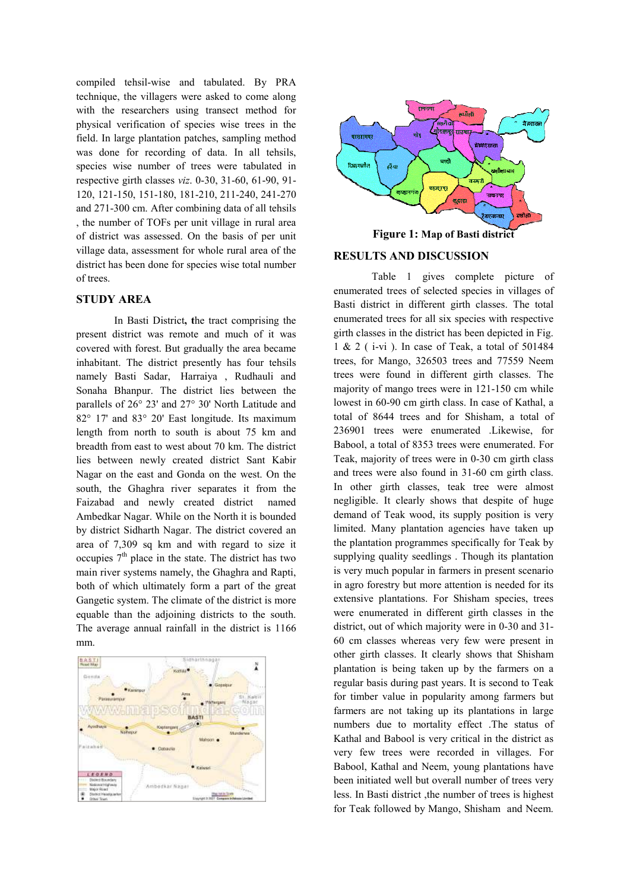compiled tehsil-wise and tabulated. By PRA technique, the villagers were asked to come along with the researchers using transect method for physical verification of species wise trees in the field. In large plantation patches, sampling method was done for recording of data. In all tehsils, species wise number of trees were tabulated in respective girth classes *viz*. 0-30, 31-60, 61-90, 91- 120, 121-150, 151-180, 181-210, 211-240, 241-270 and 271-300 cm. After combining data of all tehsils , the number of TOFs per unit village in rural area of district was assessed. On the basis of per unit village data, assessment for whole rural area of the district has been done for species wise total number of trees.

#### **STUDY AREA**

 In Basti District**, t**he tract comprising the present district was remote and much of it was covered with forest. But gradually the area became inhabitant. The district presently has four tehsils namely Basti Sadar, Harraiya , Rudhauli and Sonaha Bhanpur. The district lies between the parallels of 26° 23' and 27° 30' North Latitude and 82° 17' and 83° 20' East longitude. Its maximum length from north to south is about 75 km and breadth from east to west about 70 km. The district lies between newly created district Sant Kabir Nagar on the east and Gonda on the west. On the south, the Ghaghra river separates it from the Faizabad and newly created district named Ambedkar Nagar. While on the North it is bounded by district Sidharth Nagar. The district covered an area of 7,309 sq km and with regard to size it occupies  $7<sup>th</sup>$  place in the state. The district has two main river systems namely, the Ghaghra and Rapti, both of which ultimately form a part of the great Gangetic system. The climate of the district is more equable than the adjoining districts to the south. The average annual rainfall in the district is 1166 mm.





# **Figure 1: Map of Basti district**

#### **RESULTS AND DISCUSSION**

 Table 1 gives complete picture of enumerated trees of selected species in villages of Basti district in different girth classes. The total enumerated trees for all six species with respective girth classes in the district has been depicted in Fig. 1 & 2 ( i-vi ). In case of Teak, a total of 501484 trees, for Mango, 326503 trees and 77559 Neem trees were found in different girth classes. The majority of mango trees were in 121-150 cm while lowest in 60-90 cm girth class. In case of Kathal, a total of 8644 trees and for Shisham, a total of 236901 trees were enumerated .Likewise, for Babool, a total of 8353 trees were enumerated. For Teak, majority of trees were in 0-30 cm girth class and trees were also found in 31-60 cm girth class. In other girth classes, teak tree were almost negligible. It clearly shows that despite of huge demand of Teak wood, its supply position is very limited. Many plantation agencies have taken up the plantation programmes specifically for Teak by supplying quality seedlings . Though its plantation is very much popular in farmers in present scenario in agro forestry but more attention is needed for its extensive plantations. For Shisham species, trees were enumerated in different girth classes in the district, out of which majority were in 0-30 and 31- 60 cm classes whereas very few were present in other girth classes. It clearly shows that Shisham plantation is being taken up by the farmers on a regular basis during past years. It is second to Teak for timber value in popularity among farmers but farmers are not taking up its plantations in large numbers due to mortality effect .The status of Kathal and Babool is very critical in the district as very few trees were recorded in villages. For Babool, Kathal and Neem, young plantations have been initiated well but overall number of trees very less. In Basti district ,the number of trees is highest for Teak followed by Mango, Shisham and Neem.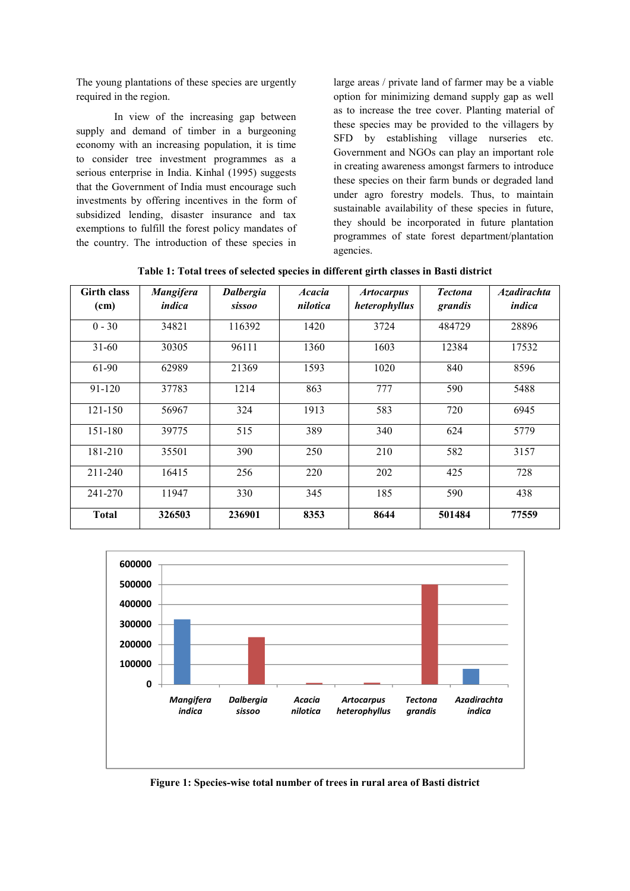The young plantations of these species are urgently required in the region.

 In view of the increasing gap between supply and demand of timber in a burgeoning economy with an increasing population, it is time to consider tree investment programmes as a serious enterprise in India. Kinhal (1995) suggests that the Government of India must encourage such investments by offering incentives in the form of subsidized lending, disaster insurance and tax exemptions to fulfill the forest policy mandates of the country. The introduction of these species in large areas / private land of farmer may be a viable option for minimizing demand supply gap as well as to increase the tree cover. Planting material of these species may be provided to the villagers by SFD by establishing village nurseries etc. Government and NGOs can play an important role in creating awareness amongst farmers to introduce these species on their farm bunds or degraded land under agro forestry models. Thus, to maintain sustainable availability of these species in future, they should be incorporated in future plantation programmes of state forest department/plantation agencies.

| <b>Girth class</b><br>(cm) | <b>Mangifera</b><br>indica | <b>Dalbergia</b><br><i>sissoo</i> | <b>Acacia</b><br>nilotica | <b>Artocarpus</b><br>heterophyllus | <b>Tectona</b><br>grandis | <b>Azadirachta</b><br>indica |
|----------------------------|----------------------------|-----------------------------------|---------------------------|------------------------------------|---------------------------|------------------------------|
| $0 - 30$                   | 34821                      | 116392                            | 1420                      | 3724                               | 484729                    | 28896                        |
| $31 - 60$                  | 30305                      | 96111                             | 1360                      | 1603                               | 12384                     | 17532                        |
| 61-90                      | 62989                      | 21369                             | 1593                      | 1020                               | 840                       | 8596                         |
| 91-120                     | 37783                      | 1214                              | 863                       | 777                                | 590                       | 5488                         |
| $121 - 150$                | 56967                      | 324                               | 1913                      | 583                                | 720                       | 6945                         |
| 151-180                    | 39775                      | 515                               | 389                       | 340                                | 624                       | 5779                         |
| 181-210                    | 35501                      | 390                               | 250                       | 210                                | 582                       | 3157                         |
| 211-240                    | 16415                      | 256                               | 220                       | 202                                | 425                       | 728                          |
| 241-270                    | 11947                      | 330                               | 345                       | 185                                | 590                       | 438                          |
| <b>Total</b>               | 326503                     | 236901                            | 8353                      | 8644                               | 501484                    | 77559                        |

**Table 1: Total trees of selected species in different girth classes in Basti district** 



**Figure 1: Species-wise total number of trees in rural area of Basti district**